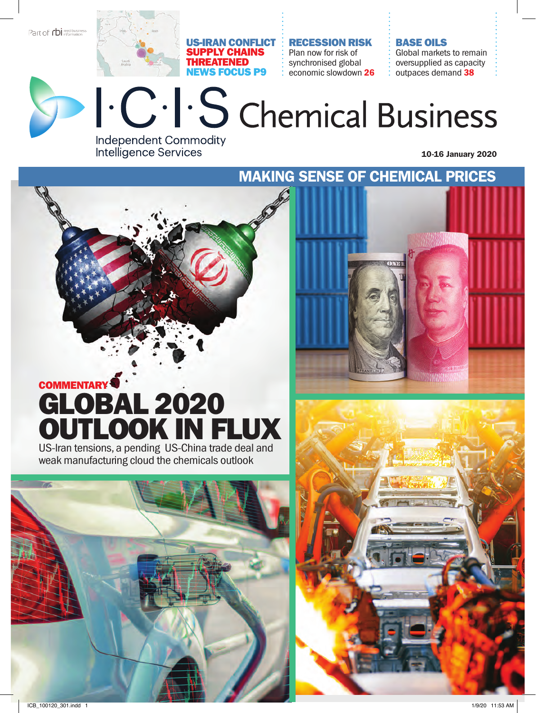Part of **rbi** reed business

#### US-Iran conflict supply chains threatened news focus p9

recession risk Plan now for risk of synchronised global economic slowdown 26

#### base oils

Global markets to remain oversupplied as capacity outpaces demand 38



## I. C. I. S chemical Business **Independent Commodity**

10-16 January 2020

Making sense of chemical prices

### Commentary Global 2020 outlook in flux US-lran tensions, a pending US-China trade deal and

**Intelligence Services** 

weak manufacturing cloud the chemicals outlook



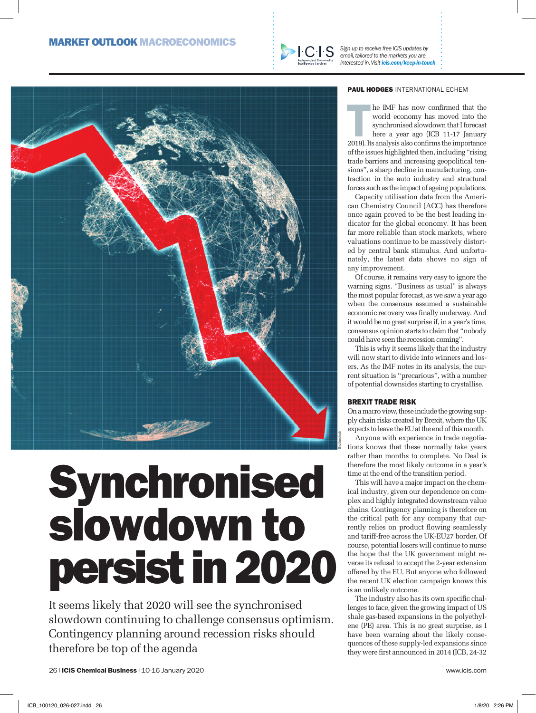

*Sign up to receive free ICIS updates by email, tailored to the markets you are interested in. Visit icis.com/keep-in-touch*



# Synchronised slowdown to persist in 2020

It seems likely that 2020 will see the synchronised slowdown continuing to challenge consensus optimism. Contingency planning around recession risks should therefore be top of the agenda

#### PAUL HODGES INTERNATIONAL ECHEM

In the IMF has now confirmed that the world economy has moved into the synchronised slowdown that I forecast here a year ago (ICB 11-17 January 2019). Its analysis also confirms the importance he IMF has now confirmed that the world economy has moved into the synchronised slowdown that I forecast

here a year ago (ICB 11-17 January of the issues highlighted then, including "rising trade barriers and increasing geopolitical tensions", a sharp decline in manufacturing, contraction in the auto industry and structural forces such as the impact of ageing populations.

Capacity utilisation data from the American Chemistry Council (ACC) has therefore once again proved to be the best leading indicator for the global economy. It has been far more reliable than stock markets, where valuations continue to be massively distorted by central bank stimulus. And unfortunately, the latest data shows no sign of any improvement.

Of course, it remains very easy to ignore the warning signs. "Business as usual" is always the most popular forecast, as we saw a year ago when the consensus assumed a sustainable economic recovery was finally underway. And it would be no great surprise if, in a year's time, consensus opinion starts to claim that "nobody could have seen the recession coming".

This is why it seems likely that the industry will now start to divide into winners and losers. As the IMF notes in its analysis, the current situation is "precarious", with a number of potential downsides starting to crystallise.

#### BREXIT TRADE RISK

On a macro view, these include the growing supply chain risks created by Brexit, where the UK expects to leave the EU at the end of this month.

Anyone with experience in trade negotiations knows that these normally take years rather than months to complete. No Deal is therefore the most likely outcome in a year's time at the end of the transition period.

This will have a major impact on the chemical industry, given our dependence on complex and highly integrated downstream value chains. Contingency planning is therefore on the critical path for any company that currently relies on product flowing seamlessly and tariff-free across the UK-EU27 border. Of course, potential losers will continue to nurse the hope that the UK government might reverse its refusal to accept the 2-year extension offered by the EU. But anyone who followed the recent UK election campaign knows this is an unlikely outcome.

The industry also has its own specific challenges to face, given the growing impact of US shale gas-based expansions in the polyethylene (PE) area. This is no great surprise, as I have been warning about the likely consequences of these supply-led expansions since they were first announced in 2014 (ICB, 24-32